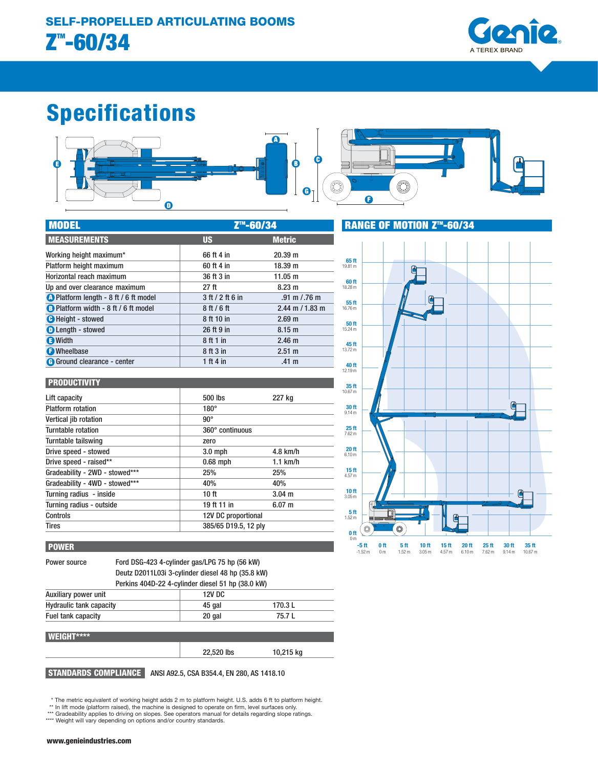

# Specifications



| <b>MODEL</b>                                 | Z <sup>™</sup> -60/34 |                                 |  |
|----------------------------------------------|-----------------------|---------------------------------|--|
| <b>MEASUREMENTS</b>                          | <b>US</b>             | <b>Metric</b>                   |  |
| Working height maximum*                      | 66 ft 4 in            | 20.39 m                         |  |
| Platform height maximum                      | 60 ft 4 in            | 18.39 m                         |  |
| Horizontal reach maximum                     | 36 ft 3 in            | 11.05 m                         |  |
| Up and over clearance maximum                | 27 <sub>ft</sub>      | 8.23 m                          |  |
| <b>A</b> Platform length - 8 ft / 6 ft model | 3 ft / 2 ft 6 in      | $.91 \text{ m} / .76 \text{ m}$ |  |
| <b>B</b> Platform width - 8 ft / 6 ft model  | 8ft/6ft               | $2.44$ m $/ 1.83$ m             |  |
| <b>O</b> Height - stowed                     | 8 ft 10 in            | 2.69 <sub>m</sub>               |  |
| <b>O</b> Length - stowed                     | 26 ft 9 in            | 8.15 <sub>m</sub>               |  |
| <b>B</b> Width                               | 8 ft 1 in             | 2.46 <sub>m</sub>               |  |
| <b>O</b> Wheelbase                           | 8 ft 3 in             | 2.51 m                          |  |
| G Ground clearance - center                  | 1 ft 4 in             | .41 <sub>m</sub>                |  |

| <b>PRODUCTIVITY</b>            |                      |             |  |
|--------------------------------|----------------------|-------------|--|
| Lift capacity                  | 500 lbs              | 227 kg      |  |
| <b>Platform rotation</b>       | $180^\circ$          |             |  |
| Vertical jib rotation          | $90^{\circ}$         |             |  |
| Turntable rotation             | 360° continuous      |             |  |
| Turntable tailswing            | zero                 |             |  |
| Drive speed - stowed           | $3.0$ mph            | $4.8$ km/h  |  |
| Drive speed - raised**         | $0.68$ mph           | $1.1$ km/h  |  |
| Gradeability - 2WD - stowed*** | 25%                  | 25%         |  |
| Gradeability - 4WD - stowed*** | 40%                  | 40%         |  |
| Turning radius - inside        | 10 <sub>ft</sub>     | $3.04 \; m$ |  |
| Turning radius - outside       | 19 ft 11 in          | $6.07 \; m$ |  |
| Controls                       | 12V DC proportional  |             |  |
| <b>Tires</b>                   | 385/65 D19.5, 12 ply |             |  |

#### POWER

Power source Ford DSG-423 4-cylinder gas/LPG 75 hp (56 kW) Deutz D2011L03i 3-cylinder diesel 48 hp (35.8 kW) Perkins 404D-22 4-cylinder diesel 51 hp (38.0 kW)

| Auxiliary power unit           | 12V DC |         |  |
|--------------------------------|--------|---------|--|
| <b>Hydraulic tank capacity</b> | 45 gal | 170.3 L |  |
| Fuel tank capacity             | 20 gal | 75.7 L  |  |
|                                |        |         |  |

#### WEIGHT\*\*\*\*

22,520 lbs 10,215 kg

STANDARDS COMPLIANCE ANSI A92.5, CSA B354.4, EN 280, AS 1418.10

\* The metric equivalent of working height adds 2 m to platform height. U.S. adds 6 ft to platform height. \*\* In lift mode (platform raised), the machine is designed to operate on firm, level surfaces only.

\*\*\* Gradeability applies to driving on slopes. See operators manual for details regarding slope ratings.

\*\*\*\* Weight will vary depending on options and/or country standards.